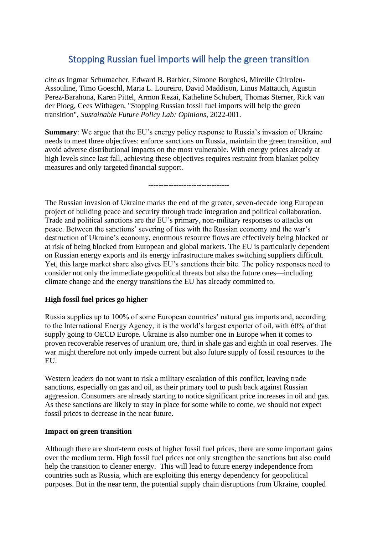## Stopping Russian fuel imports will help the green transition

*cite as* Ingmar Schumacher, Edward B. Barbier, Simone Borghesi, Mireille Chiroleu-Assouline, Timo Goeschl, Maria L. Loureiro, David Maddison, Linus Mattauch, Agustin Perez-Barahona, Karen Pittel, Armon Rezai, Katheline Schubert, Thomas Sterner, Rick van der Ploeg, Cees Withagen, "Stopping Russian fossil fuel imports will help the green transition", *Sustainable Future Policy Lab: Opinions*, 2022-001.

**Summary**: We argue that the EU's energy policy response to Russia's invasion of Ukraine needs to meet three objectives: enforce sanctions on Russia, maintain the green transition, and avoid adverse distributional impacts on the most vulnerable. With energy prices already at high levels since last fall, achieving these objectives requires restraint from blanket policy measures and only targeted financial support.

--------------------------------

The Russian invasion of Ukraine marks the end of the greater, seven-decade long European project of building peace and security through trade integration and political collaboration. Trade and political sanctions are the EU's primary, non-military responses to attacks on peace. Between the sanctions' severing of ties with the Russian economy and the war's destruction of Ukraine's economy, enormous resource flows are effectively being blocked or at risk of being blocked from European and global markets. The EU is particularly dependent on Russian energy exports and its energy infrastructure makes switching suppliers difficult. Yet, this large market share also gives EU's sanctions their bite. The policy responses need to consider not only the immediate geopolitical threats but also the future ones—including climate change and the energy transitions the EU has already committed to.

## **High fossil fuel prices go higher**

Russia supplies up to 100% of some European countries' natural gas imports and, according to the International Energy Agency, it is the world's largest exporter of oil, with 60% of that supply going to OECD Europe. Ukraine is also number one in Europe when it comes to proven recoverable reserves of uranium ore, third in shale gas and eighth in coal reserves. The war might therefore not only impede current but also future supply of fossil resources to the EU.

Western leaders do not want to risk a military escalation of this conflict, leaving trade sanctions, especially on gas and oil, as their primary tool to push back against Russian aggression. Consumers are already starting to notice significant price increases in oil and gas. As these sanctions are likely to stay in place for some while to come, we should not expect fossil prices to decrease in the near future.

## **Impact on green transition**

Although there are short-term costs of higher fossil fuel prices, there are some important gains over the medium term. High fossil fuel prices not only strengthen the sanctions but also could help the transition to cleaner energy. This will lead to future energy independence from countries such as Russia, which are exploiting this energy dependency for geopolitical purposes. But in the near term, the potential supply chain disruptions from Ukraine, coupled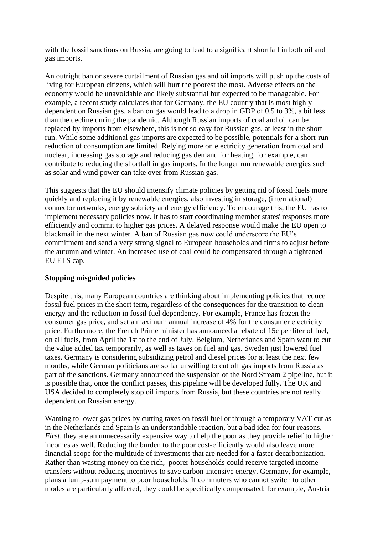with the fossil sanctions on Russia, are going to lead to a significant shortfall in both oil and gas imports.

An outright ban or severe curtailment of Russian gas and oil imports will push up the costs of living for European citizens, which will hurt the poorest the most. Adverse effects on the economy would be unavoidable and likely substantial but expected to be manageable. For example, a recent study calculates that for Germany, the EU country that is most highly dependent on Russian gas, a ban on gas would lead to a drop in GDP of 0.5 to 3%, a bit less than the decline during the pandemic. Although Russian imports of coal and oil can be replaced by imports from elsewhere, this is not so easy for Russian gas, at least in the short run. While some additional gas imports are expected to be possible, potentials for a short-run reduction of consumption are limited. Relying more on electricity generation from coal and nuclear, increasing gas storage and reducing gas demand for heating, for example, can contribute to reducing the shortfall in gas imports. In the longer run renewable energies such as solar and wind power can take over from Russian gas.

This suggests that the EU should intensify climate policies by getting rid of fossil fuels more quickly and replacing it by renewable energies, also investing in storage, (international) connector networks, energy sobriety and energy efficiency. To encourage this, the EU has to implement necessary policies now. It has to start coordinating member states' responses more efficiently and commit to higher gas prices. A delayed response would make the EU open to blackmail in the next winter. A ban of Russian gas now could underscore the EU's commitment and send a very strong signal to European households and firms to adjust before the autumn and winter. An increased use of coal could be compensated through a tightened EU ETS cap.

## **Stopping misguided policies**

Despite this, many European countries are thinking about implementing policies that reduce fossil fuel prices in the short term, regardless of the consequences for the transition to clean energy and the reduction in fossil fuel dependency. For example, France has frozen the consumer gas price, and set a maximum annual increase of 4% for the consumer electricity price. Furthermore, the French Prime minister has announced a rebate of 15c per liter of fuel, on all fuels, from April the 1st to the end of July. Belgium, Netherlands and Spain want to cut the value added tax temporarily, as well as taxes on fuel and gas. Sweden just lowered fuel taxes. Germany is considering subsidizing petrol and diesel prices for at least the next few months, while German politicians are so far unwilling to cut off gas imports from Russia as part of the sanctions. Germany announced the suspension of the Nord Stream 2 pipeline, but it is possible that, once the conflict passes, this pipeline will be developed fully. The UK and USA decided to completely stop oil imports from Russia, but these countries are not really dependent on Russian energy.

Wanting to lower gas prices by cutting taxes on fossil fuel or through a temporary VAT cut as in the Netherlands and Spain is an understandable reaction, but a bad idea for four reasons. *First*, they are an unnecessarily expensive way to help the poor as they provide relief to higher incomes as well. Reducing the burden to the poor cost-efficiently would also leave more financial scope for the multitude of investments that are needed for a faster decarbonization. Rather than wasting money on the rich, poorer households could receive targeted income transfers without reducing incentives to save carbon-intensive energy. Germany, for example, plans a lump-sum payment to poor households. If commuters who cannot switch to other modes are particularly affected, they could be specifically compensated: for example, Austria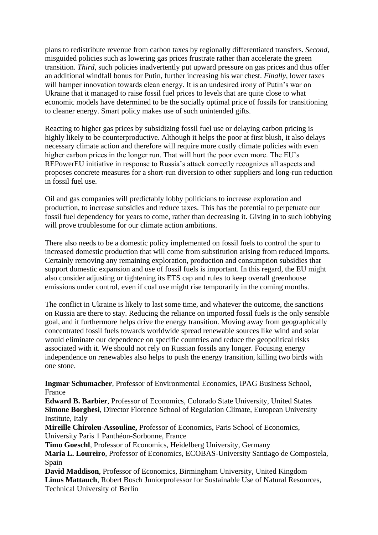plans to redistribute revenue from carbon taxes by regionally differentiated transfers. *Second*, misguided policies such as lowering gas prices frustrate rather than accelerate the green transition. *Third*, such policies inadvertently put upward pressure on gas prices and thus offer an additional windfall bonus for Putin, further increasing his war chest. *Finally*, lower taxes will hamper innovation towards clean energy. It is an undesired irony of Putin's war on Ukraine that it managed to raise fossil fuel prices to levels that are quite close to what economic models have determined to be the socially optimal price of fossils for transitioning to cleaner energy. Smart policy makes use of such unintended gifts.

Reacting to higher gas prices by subsidizing fossil fuel use or delaying carbon pricing is highly likely to be counterproductive. Although it helps the poor at first blush, it also delays necessary climate action and therefore will require more costly climate policies with even higher carbon prices in the longer run. That will hurt the poor even more. The EU's REPowerEU initiative in response to Russia's attack correctly recognizes all aspects and proposes concrete measures for a short-run diversion to other suppliers and long-run reduction in fossil fuel use.

Oil and gas companies will predictably lobby politicians to increase exploration and production, to increase subsidies and reduce taxes. This has the potential to perpetuate our fossil fuel dependency for years to come, rather than decreasing it. Giving in to such lobbying will prove troublesome for our climate action ambitions.

There also needs to be a domestic policy implemented on fossil fuels to control the spur to increased domestic production that will come from substitution arising from reduced imports. Certainly removing any remaining exploration, production and consumption subsidies that support domestic expansion and use of fossil fuels is important. In this regard, the EU might also consider adjusting or tightening its ETS cap and rules to keep overall greenhouse emissions under control, even if coal use might rise temporarily in the coming months.

The conflict in Ukraine is likely to last some time, and whatever the outcome, the sanctions on Russia are there to stay. Reducing the reliance on imported fossil fuels is the only sensible goal, and it furthermore helps drive the energy transition. Moving away from geographically concentrated fossil fuels towards worldwide spread renewable sources like wind and solar would eliminate our dependence on specific countries and reduce the geopolitical risks associated with it. We should not rely on Russian fossils any longer. Focusing energy independence on renewables also helps to push the energy transition, killing two birds with one stone.

**Ingmar Schumacher**, Professor of Environmental Economics, IPAG Business School, France

**Edward B. Barbier**, Professor of Economics, Colorado State University, United States **Simone Borghesi**, Director Florence School of Regulation Climate, European University Institute, Italy

**Mireille Chiroleu-Assouline,** Professor of Economics, Paris School of Economics, University Paris 1 Panthéon-Sorbonne, France

**Timo Goeschl**, Professor of Economics, Heidelberg University, Germany

**Maria L. Loureiro**, Professor of Economics, ECOBAS-University Santiago de Compostela, Spain

**David Maddison**, Professor of Economics, Birmingham University, United Kingdom **Linus Mattauch**, Robert Bosch Juniorprofessor for Sustainable Use of Natural Resources, Technical University of Berlin